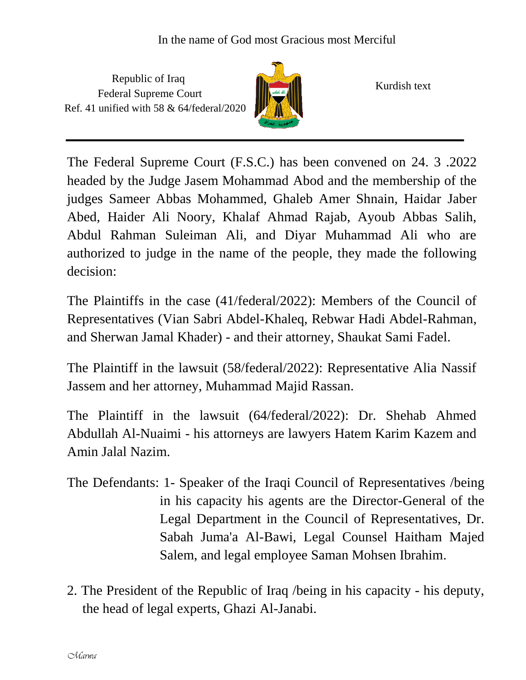Republic of Iraq Federal Supreme Court Ref. 41 unified with 58 & 64/federal/2020



Kurdish text

The Federal Supreme Court (F.S.C.) has been convened on 24. 3 .2022 headed by the Judge Jasem Mohammad Abod and the membership of the judges Sameer Abbas Mohammed, Ghaleb Amer Shnain, Haidar Jaber Abed, Haider Ali Noory, Khalaf Ahmad Rajab, Ayoub Abbas Salih, Abdul Rahman Suleiman Ali, and Diyar Muhammad Ali who are authorized to judge in the name of the people, they made the following decision:

The Plaintiffs in the case (41/federal/2022): Members of the Council of Representatives (Vian Sabri Abdel-Khaleq, Rebwar Hadi Abdel-Rahman, and Sherwan Jamal Khader) - and their attorney, Shaukat Sami Fadel.

The Plaintiff in the lawsuit (58/federal/2022): Representative Alia Nassif Jassem and her attorney, Muhammad Majid Rassan.

The Plaintiff in the lawsuit (64/federal/2022): Dr. Shehab Ahmed Abdullah Al-Nuaimi - his attorneys are lawyers Hatem Karim Kazem and Amin Jalal Nazim.

- The Defendants: 1- Speaker of the Iraqi Council of Representatives /being in his capacity his agents are the Director-General of the Legal Department in the Council of Representatives, Dr. Sabah Juma'a Al-Bawi, Legal Counsel Haitham Majed Salem, and legal employee Saman Mohsen Ibrahim.
- 2. The President of the Republic of Iraq /being in his capacity his deputy, the head of legal experts, Ghazi Al-Janabi.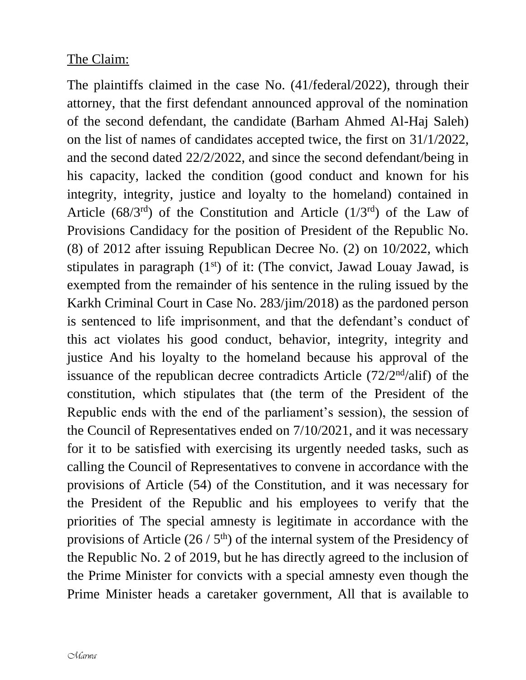## The Claim:

The plaintiffs claimed in the case No. (41/federal/2022), through their attorney, that the first defendant announced approval of the nomination of the second defendant, the candidate (Barham Ahmed Al-Haj Saleh) on the list of names of candidates accepted twice, the first on 31/1/2022, and the second dated 22/2/2022, and since the second defendant/being in his capacity, lacked the condition (good conduct and known for his integrity, integrity, justice and loyalty to the homeland) contained in Article ( $68/3^{rd}$ ) of the Constitution and Article ( $1/3^{rd}$ ) of the Law of Provisions Candidacy for the position of President of the Republic No. (8) of 2012 after issuing Republican Decree No. (2) on 10/2022, which stipulates in paragraph  $(1<sup>st</sup>)$  of it: (The convict, Jawad Louay Jawad, is exempted from the remainder of his sentence in the ruling issued by the Karkh Criminal Court in Case No. 283/jim/2018) as the pardoned person is sentenced to life imprisonment, and that the defendant's conduct of this act violates his good conduct, behavior, integrity, integrity and justice And his loyalty to the homeland because his approval of the issuance of the republican decree contradicts Article  $(72/2<sup>nd</sup>/ali f)$  of the constitution, which stipulates that (the term of the President of the Republic ends with the end of the parliament's session), the session of the Council of Representatives ended on 7/10/2021, and it was necessary for it to be satisfied with exercising its urgently needed tasks, such as calling the Council of Representatives to convene in accordance with the provisions of Article (54) of the Constitution, and it was necessary for the President of the Republic and his employees to verify that the priorities of The special amnesty is legitimate in accordance with the provisions of Article  $(26/5<sup>th</sup>)$  of the internal system of the Presidency of the Republic No. 2 of 2019, but he has directly agreed to the inclusion of the Prime Minister for convicts with a special amnesty even though the Prime Minister heads a caretaker government, All that is available to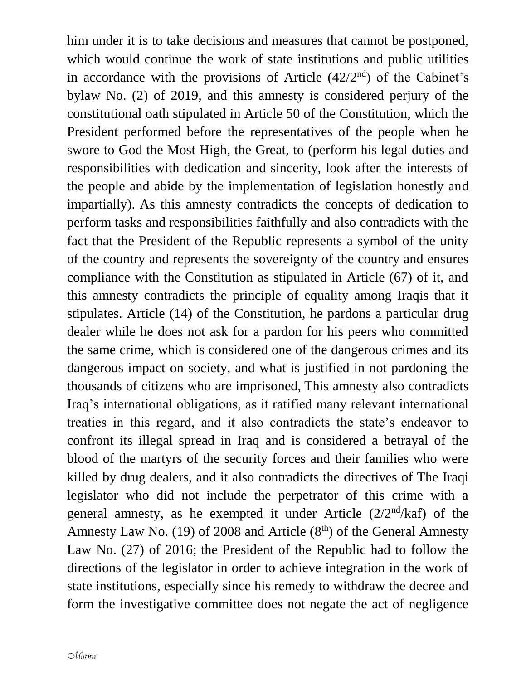him under it is to take decisions and measures that cannot be postponed, which would continue the work of state institutions and public utilities in accordance with the provisions of Article  $(42/2<sup>nd</sup>)$  of the Cabinet's bylaw No. (2) of 2019, and this amnesty is considered perjury of the constitutional oath stipulated in Article 50 of the Constitution, which the President performed before the representatives of the people when he swore to God the Most High, the Great, to (perform his legal duties and responsibilities with dedication and sincerity, look after the interests of the people and abide by the implementation of legislation honestly and impartially). As this amnesty contradicts the concepts of dedication to perform tasks and responsibilities faithfully and also contradicts with the fact that the President of the Republic represents a symbol of the unity of the country and represents the sovereignty of the country and ensures compliance with the Constitution as stipulated in Article (67) of it, and this amnesty contradicts the principle of equality among Iraqis that it stipulates. Article (14) of the Constitution, he pardons a particular drug dealer while he does not ask for a pardon for his peers who committed the same crime, which is considered one of the dangerous crimes and its dangerous impact on society, and what is justified in not pardoning the thousands of citizens who are imprisoned, This amnesty also contradicts Iraq's international obligations, as it ratified many relevant international treaties in this regard, and it also contradicts the state's endeavor to confront its illegal spread in Iraq and is considered a betrayal of the blood of the martyrs of the security forces and their families who were killed by drug dealers, and it also contradicts the directives of The Iraqi legislator who did not include the perpetrator of this crime with a general amnesty, as he exempted it under Article  $(2/2<sup>nd</sup>/kaf)$  of the Amnesty Law No. (19) of 2008 and Article  $(8<sup>th</sup>)$  of the General Amnesty Law No. (27) of 2016; the President of the Republic had to follow the directions of the legislator in order to achieve integration in the work of state institutions, especially since his remedy to withdraw the decree and form the investigative committee does not negate the act of negligence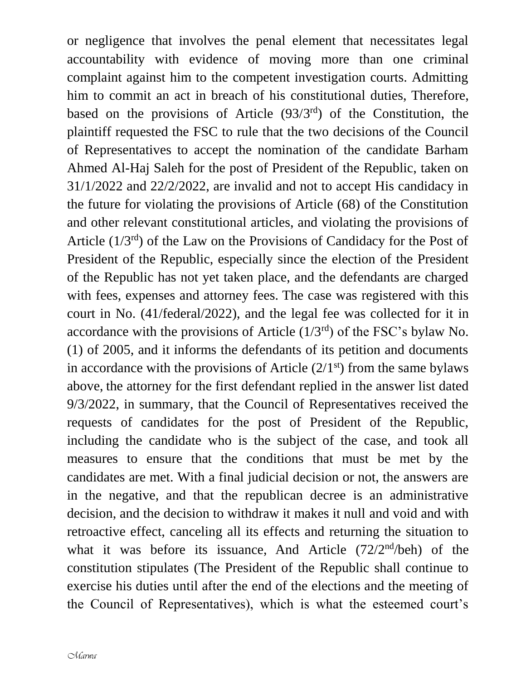or negligence that involves the penal element that necessitates legal accountability with evidence of moving more than one criminal complaint against him to the competent investigation courts. Admitting him to commit an act in breach of his constitutional duties, Therefore, based on the provisions of Article (93/3<sup>rd</sup>) of the Constitution, the plaintiff requested the FSC to rule that the two decisions of the Council of Representatives to accept the nomination of the candidate Barham Ahmed Al-Haj Saleh for the post of President of the Republic, taken on 31/1/2022 and 22/2/2022, are invalid and not to accept His candidacy in the future for violating the provisions of Article (68) of the Constitution and other relevant constitutional articles, and violating the provisions of Article  $(1/3^{rd})$  of the Law on the Provisions of Candidacy for the Post of President of the Republic, especially since the election of the President of the Republic has not yet taken place, and the defendants are charged with fees, expenses and attorney fees. The case was registered with this court in No. (41/federal/2022), and the legal fee was collected for it in accordance with the provisions of Article  $(1/3<sup>rd</sup>)$  of the FSC's bylaw No. (1) of 2005, and it informs the defendants of its petition and documents in accordance with the provisions of Article  $(2/1<sup>st</sup>)$  from the same bylaws above, the attorney for the first defendant replied in the answer list dated 9/3/2022, in summary, that the Council of Representatives received the requests of candidates for the post of President of the Republic, including the candidate who is the subject of the case, and took all measures to ensure that the conditions that must be met by the candidates are met. With a final judicial decision or not, the answers are in the negative, and that the republican decree is an administrative decision, and the decision to withdraw it makes it null and void and with retroactive effect, canceling all its effects and returning the situation to what it was before its issuance, And Article (72/2<sup>nd</sup>/beh) of the constitution stipulates (The President of the Republic shall continue to exercise his duties until after the end of the elections and the meeting of the Council of Representatives), which is what the esteemed court's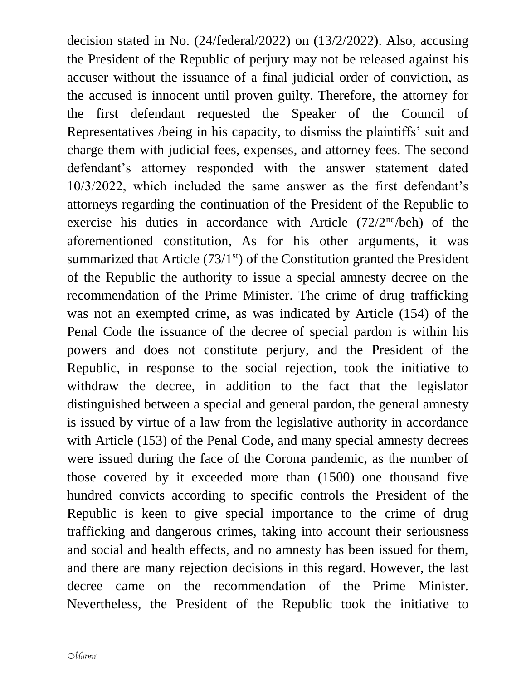decision stated in No. (24/federal/2022) on (13/2/2022). Also, accusing the President of the Republic of perjury may not be released against his accuser without the issuance of a final judicial order of conviction, as the accused is innocent until proven guilty. Therefore, the attorney for the first defendant requested the Speaker of the Council of Representatives /being in his capacity, to dismiss the plaintiffs' suit and charge them with judicial fees, expenses, and attorney fees. The second defendant's attorney responded with the answer statement dated 10/3/2022, which included the same answer as the first defendant's attorneys regarding the continuation of the President of the Republic to exercise his duties in accordance with Article  $(72/2<sup>nd</sup>/beh)$  of the aforementioned constitution, As for his other arguments, it was summarized that Article  $(73/1<sup>st</sup>)$  of the Constitution granted the President of the Republic the authority to issue a special amnesty decree on the recommendation of the Prime Minister. The crime of drug trafficking was not an exempted crime, as was indicated by Article (154) of the Penal Code the issuance of the decree of special pardon is within his powers and does not constitute perjury, and the President of the Republic, in response to the social rejection, took the initiative to withdraw the decree, in addition to the fact that the legislator distinguished between a special and general pardon, the general amnesty is issued by virtue of a law from the legislative authority in accordance with Article (153) of the Penal Code, and many special amnesty decrees were issued during the face of the Corona pandemic, as the number of those covered by it exceeded more than (1500) one thousand five hundred convicts according to specific controls the President of the Republic is keen to give special importance to the crime of drug trafficking and dangerous crimes, taking into account their seriousness and social and health effects, and no amnesty has been issued for them, and there are many rejection decisions in this regard. However, the last decree came on the recommendation of the Prime Minister. Nevertheless, the President of the Republic took the initiative to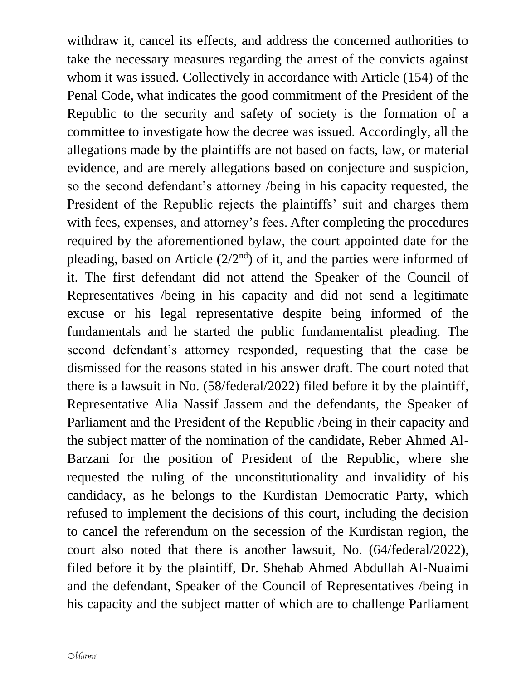withdraw it, cancel its effects, and address the concerned authorities to take the necessary measures regarding the arrest of the convicts against whom it was issued. Collectively in accordance with Article (154) of the Penal Code, what indicates the good commitment of the President of the Republic to the security and safety of society is the formation of a committee to investigate how the decree was issued. Accordingly, all the allegations made by the plaintiffs are not based on facts, law, or material evidence, and are merely allegations based on conjecture and suspicion, so the second defendant's attorney /being in his capacity requested, the President of the Republic rejects the plaintiffs' suit and charges them with fees, expenses, and attorney's fees. After completing the procedures required by the aforementioned bylaw, the court appointed date for the pleading, based on Article  $(2/2<sup>nd</sup>)$  of it, and the parties were informed of it. The first defendant did not attend the Speaker of the Council of Representatives /being in his capacity and did not send a legitimate excuse or his legal representative despite being informed of the fundamentals and he started the public fundamentalist pleading. The second defendant's attorney responded, requesting that the case be dismissed for the reasons stated in his answer draft. The court noted that there is a lawsuit in No. (58/federal/2022) filed before it by the plaintiff, Representative Alia Nassif Jassem and the defendants, the Speaker of Parliament and the President of the Republic /being in their capacity and the subject matter of the nomination of the candidate, Reber Ahmed Al-Barzani for the position of President of the Republic, where she requested the ruling of the unconstitutionality and invalidity of his candidacy, as he belongs to the Kurdistan Democratic Party, which refused to implement the decisions of this court, including the decision to cancel the referendum on the secession of the Kurdistan region, the court also noted that there is another lawsuit, No. (64/federal/2022), filed before it by the plaintiff, Dr. Shehab Ahmed Abdullah Al-Nuaimi and the defendant, Speaker of the Council of Representatives /being in his capacity and the subject matter of which are to challenge Parliament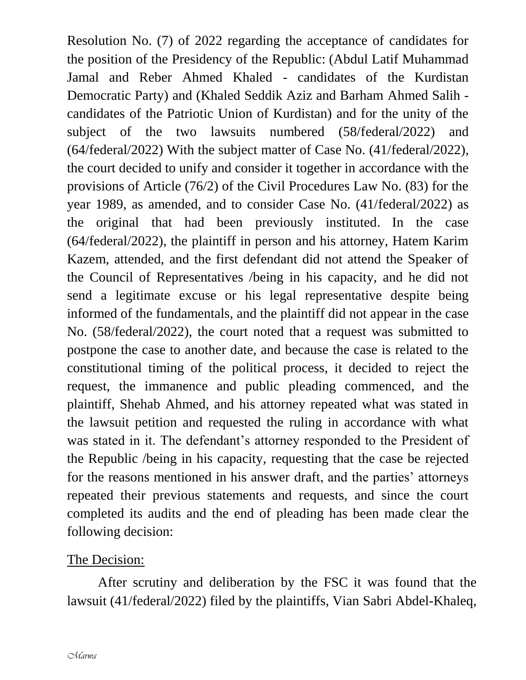Resolution No. (7) of 2022 regarding the acceptance of candidates for the position of the Presidency of the Republic: (Abdul Latif Muhammad Jamal and Reber Ahmed Khaled - candidates of the Kurdistan Democratic Party) and (Khaled Seddik Aziz and Barham Ahmed Salih candidates of the Patriotic Union of Kurdistan) and for the unity of the subject of the two lawsuits numbered (58/federal/2022) and (64/federal/2022) With the subject matter of Case No. (41/federal/2022), the court decided to unify and consider it together in accordance with the provisions of Article (76/2) of the Civil Procedures Law No. (83) for the year 1989, as amended, and to consider Case No. (41/federal/2022) as the original that had been previously instituted. In the case (64/federal/2022), the plaintiff in person and his attorney, Hatem Karim Kazem, attended, and the first defendant did not attend the Speaker of the Council of Representatives /being in his capacity, and he did not send a legitimate excuse or his legal representative despite being informed of the fundamentals, and the plaintiff did not appear in the case No. (58/federal/2022), the court noted that a request was submitted to postpone the case to another date, and because the case is related to the constitutional timing of the political process, it decided to reject the request, the immanence and public pleading commenced, and the plaintiff, Shehab Ahmed, and his attorney repeated what was stated in the lawsuit petition and requested the ruling in accordance with what was stated in it. The defendant's attorney responded to the President of the Republic /being in his capacity, requesting that the case be rejected for the reasons mentioned in his answer draft, and the parties' attorneys repeated their previous statements and requests, and since the court completed its audits and the end of pleading has been made clear the following decision:

## The Decision:

After scrutiny and deliberation by the FSC it was found that the lawsuit (41/federal/2022) filed by the plaintiffs, Vian Sabri Abdel-Khaleq,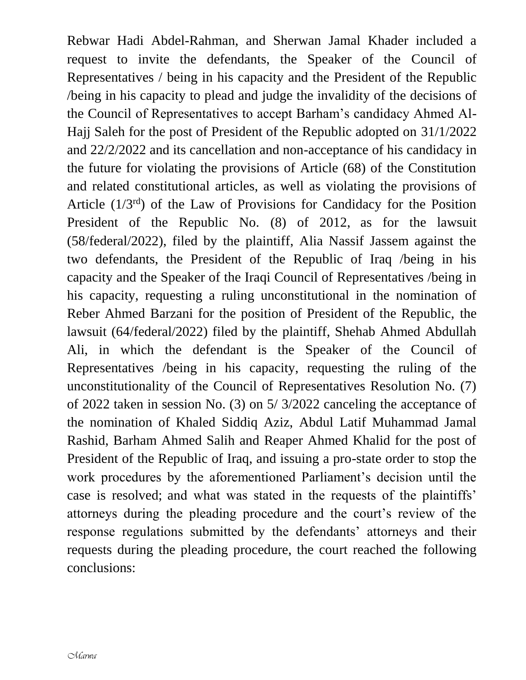Rebwar Hadi Abdel-Rahman, and Sherwan Jamal Khader included a request to invite the defendants, the Speaker of the Council of Representatives / being in his capacity and the President of the Republic /being in his capacity to plead and judge the invalidity of the decisions of the Council of Representatives to accept Barham's candidacy Ahmed Al-Hajj Saleh for the post of President of the Republic adopted on 31/1/2022 and 22/2/2022 and its cancellation and non-acceptance of his candidacy in the future for violating the provisions of Article (68) of the Constitution and related constitutional articles, as well as violating the provisions of Article  $(1/3<sup>rd</sup>)$  of the Law of Provisions for Candidacy for the Position President of the Republic No. (8) of 2012, as for the lawsuit (58/federal/2022), filed by the plaintiff, Alia Nassif Jassem against the two defendants, the President of the Republic of Iraq /being in his capacity and the Speaker of the Iraqi Council of Representatives /being in his capacity, requesting a ruling unconstitutional in the nomination of Reber Ahmed Barzani for the position of President of the Republic, the lawsuit (64/federal/2022) filed by the plaintiff, Shehab Ahmed Abdullah Ali, in which the defendant is the Speaker of the Council of Representatives /being in his capacity, requesting the ruling of the unconstitutionality of the Council of Representatives Resolution No. (7) of 2022 taken in session No. (3) on 5/ 3/2022 canceling the acceptance of the nomination of Khaled Siddiq Aziz, Abdul Latif Muhammad Jamal Rashid, Barham Ahmed Salih and Reaper Ahmed Khalid for the post of President of the Republic of Iraq, and issuing a pro-state order to stop the work procedures by the aforementioned Parliament's decision until the case is resolved; and what was stated in the requests of the plaintiffs' attorneys during the pleading procedure and the court's review of the response regulations submitted by the defendants' attorneys and their requests during the pleading procedure, the court reached the following conclusions: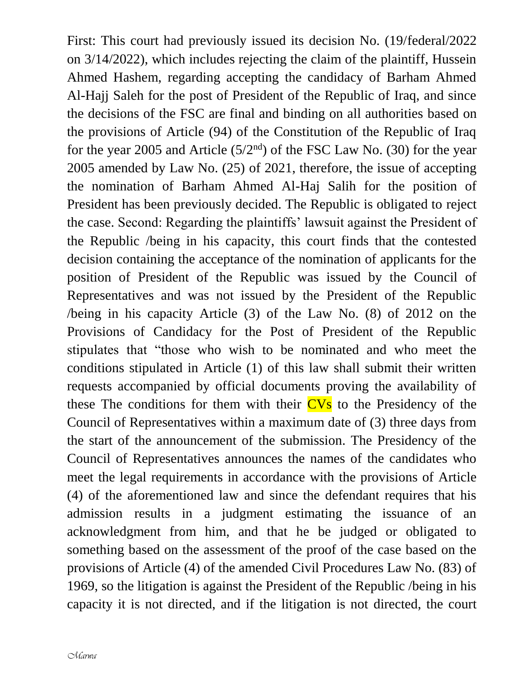First: This court had previously issued its decision No. (19/federal/2022 on 3/14/2022), which includes rejecting the claim of the plaintiff, Hussein Ahmed Hashem, regarding accepting the candidacy of Barham Ahmed Al-Hajj Saleh for the post of President of the Republic of Iraq, and since the decisions of the FSC are final and binding on all authorities based on the provisions of Article (94) of the Constitution of the Republic of Iraq for the year 2005 and Article  $(5/2<sup>nd</sup>)$  of the FSC Law No. (30) for the year 2005 amended by Law No. (25) of 2021, therefore, the issue of accepting the nomination of Barham Ahmed Al-Haj Salih for the position of President has been previously decided. The Republic is obligated to reject the case. Second: Regarding the plaintiffs' lawsuit against the President of the Republic /being in his capacity, this court finds that the contested decision containing the acceptance of the nomination of applicants for the position of President of the Republic was issued by the Council of Representatives and was not issued by the President of the Republic /being in his capacity Article (3) of the Law No. (8) of 2012 on the Provisions of Candidacy for the Post of President of the Republic stipulates that "those who wish to be nominated and who meet the conditions stipulated in Article (1) of this law shall submit their written requests accompanied by official documents proving the availability of these The conditions for them with their  $CVs$  to the Presidency of the Council of Representatives within a maximum date of (3) three days from the start of the announcement of the submission. The Presidency of the Council of Representatives announces the names of the candidates who meet the legal requirements in accordance with the provisions of Article (4) of the aforementioned law and since the defendant requires that his admission results in a judgment estimating the issuance of an acknowledgment from him, and that he be judged or obligated to something based on the assessment of the proof of the case based on the provisions of Article (4) of the amended Civil Procedures Law No. (83) of 1969, so the litigation is against the President of the Republic /being in his capacity it is not directed, and if the litigation is not directed, the court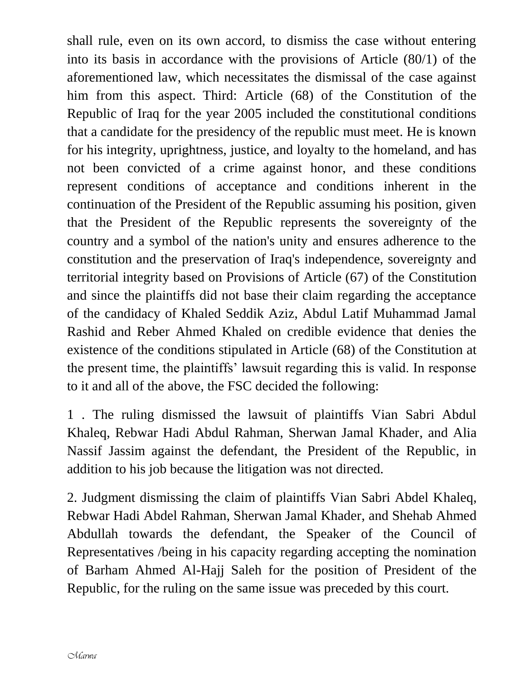shall rule, even on its own accord, to dismiss the case without entering into its basis in accordance with the provisions of Article (80/1) of the aforementioned law, which necessitates the dismissal of the case against him from this aspect. Third: Article (68) of the Constitution of the Republic of Iraq for the year 2005 included the constitutional conditions that a candidate for the presidency of the republic must meet. He is known for his integrity, uprightness, justice, and loyalty to the homeland, and has not been convicted of a crime against honor, and these conditions represent conditions of acceptance and conditions inherent in the continuation of the President of the Republic assuming his position, given that the President of the Republic represents the sovereignty of the country and a symbol of the nation's unity and ensures adherence to the constitution and the preservation of Iraq's independence, sovereignty and territorial integrity based on Provisions of Article (67) of the Constitution and since the plaintiffs did not base their claim regarding the acceptance of the candidacy of Khaled Seddik Aziz, Abdul Latif Muhammad Jamal Rashid and Reber Ahmed Khaled on credible evidence that denies the existence of the conditions stipulated in Article (68) of the Constitution at the present time, the plaintiffs' lawsuit regarding this is valid. In response to it and all of the above, the FSC decided the following:

1 . The ruling dismissed the lawsuit of plaintiffs Vian Sabri Abdul Khaleq, Rebwar Hadi Abdul Rahman, Sherwan Jamal Khader, and Alia Nassif Jassim against the defendant, the President of the Republic, in addition to his job because the litigation was not directed.

2. Judgment dismissing the claim of plaintiffs Vian Sabri Abdel Khaleq, Rebwar Hadi Abdel Rahman, Sherwan Jamal Khader, and Shehab Ahmed Abdullah towards the defendant, the Speaker of the Council of Representatives /being in his capacity regarding accepting the nomination of Barham Ahmed Al-Hajj Saleh for the position of President of the Republic, for the ruling on the same issue was preceded by this court.